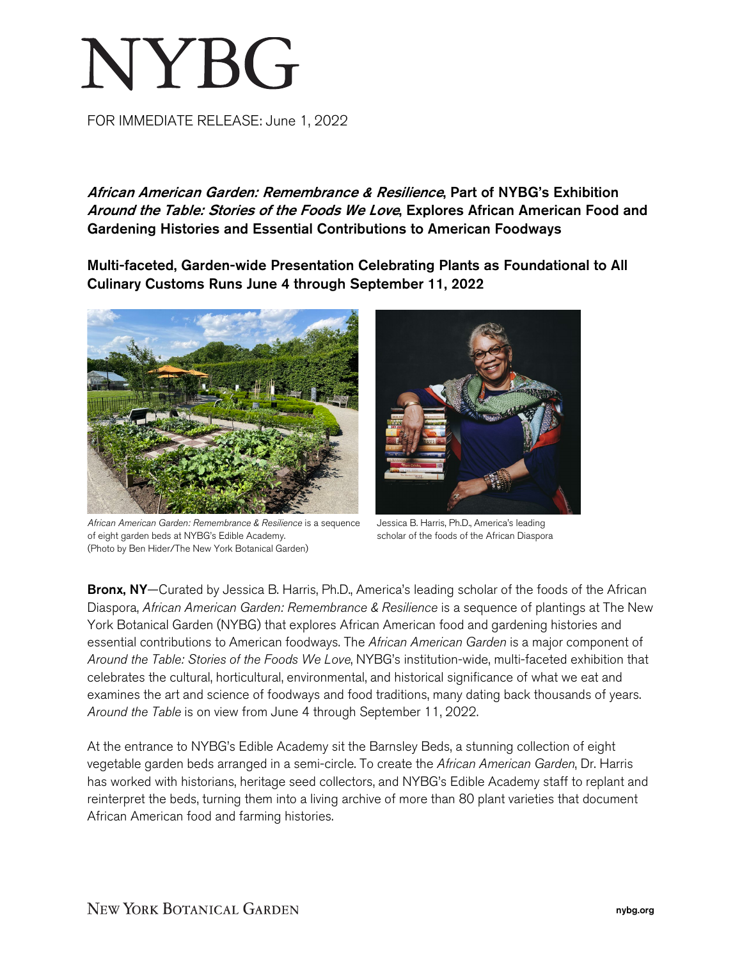# **NYBG**

FOR IMMEDIATE RELEASE: June 1, 2022

African American Garden: Remembrance & Resilience, Part of NYBG's Exhibition Around the Table: Stories of the Foods We Love, Explores African American Food and Gardening Histories and Essential Contributions to American Foodways

Multi-faceted, Garden-wide Presentation Celebrating Plants as Foundational to All Culinary Customs Runs June 4 through September 11, 2022



*African American Garden: Remembrance & Resilience* is a sequence of eight garden beds at NYBG's Edible Academy. (Photo by Ben Hider/The New York Botanical Garden)



Jessica B. Harris, Ph.D., America's leading scholar of the foods of the African Diaspora

Bronx, NY—Curated by Jessica B. Harris, Ph.D., America's leading scholar of the foods of the African Diaspora, *African American Garden: Remembrance & Resilience* is a sequence of plantings at The New York Botanical Garden (NYBG) that explores African American food and gardening histories and essential contributions to American foodways. The *African American Garden* is a major component of *Around the Table: Stories of the Foods We Love*, NYBG's institution-wide, multi-faceted exhibition that celebrates the cultural, horticultural, environmental, and historical significance of what we eat and examines the art and science of foodways and food traditions, many dating back thousands of years. *Around the Table* is on view from June 4 through September 11, 2022.

At the entrance to NYBG's Edible Academy sit the Barnsley Beds, a stunning collection of eight vegetable garden beds arranged in a semi-circle. To create the *African American Garden*, Dr. Harris has worked with historians, heritage seed collectors, and NYBG's Edible Academy staff to replant and reinterpret the beds, turning them into a living archive of more than 80 plant varieties that document African American food and farming histories.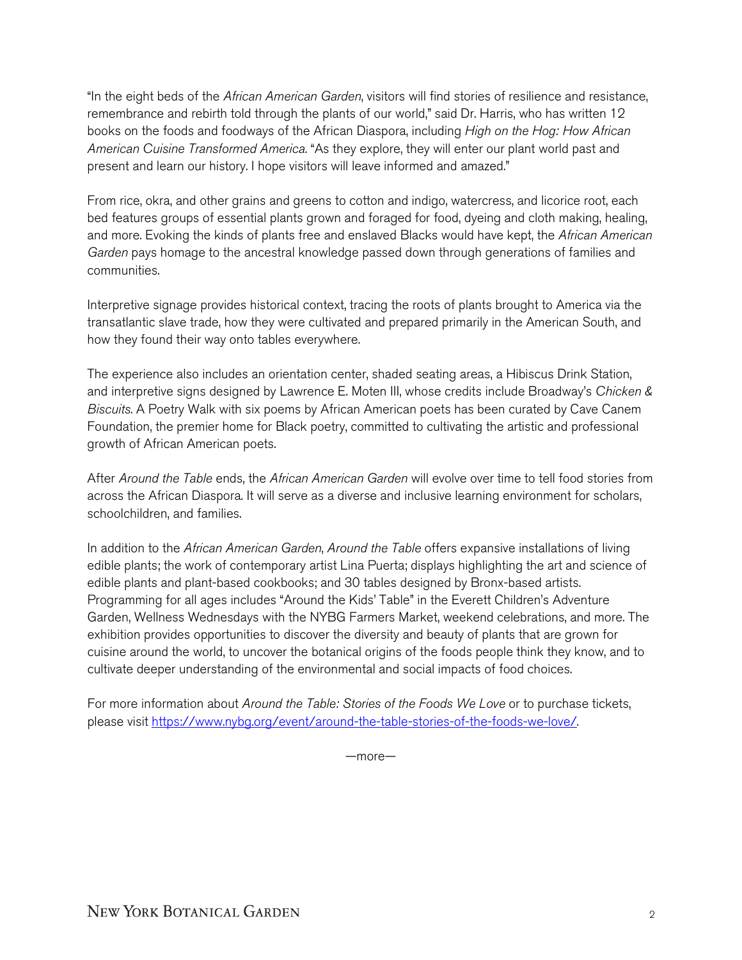"In the eight beds of the *African American Garden*, visitors will find stories of resilience and resistance, remembrance and rebirth told through the plants of our world," said Dr. Harris, who has written 12 books on the foods and foodways of the African Diaspora, including *High on the Hog: How African American Cuisine Transformed America*. "As they explore, they will enter our plant world past and present and learn our history. I hope visitors will leave informed and amazed."

From rice, okra, and other grains and greens to cotton and indigo, watercress, and licorice root, each bed features groups of essential plants grown and foraged for food, dyeing and cloth making, healing, and more. Evoking the kinds of plants free and enslaved Blacks would have kept, the *African American Garden* pays homage to the ancestral knowledge passed down through generations of families and communities.

Interpretive signage provides historical context, tracing the roots of plants brought to America via the transatlantic slave trade, how they were cultivated and prepared primarily in the American South, and how they found their way onto tables everywhere.

The experience also includes an orientation center, shaded seating areas, a Hibiscus Drink Station, and interpretive signs designed by Lawrence E. Moten III, whose credits include Broadway's *Chicken & Biscuits*. A Poetry Walk with six poems by African American poets has been curated by Cave Canem Foundation, the premier home for Black poetry, committed to cultivating the artistic and professional growth of African American poets.

After *Around the Table* ends, the *African American Garden* will evolve over time to tell food stories from across the African Diaspora. It will serve as a diverse and inclusive learning environment for scholars, schoolchildren, and families.

In addition to the *African American Garden*, *Around the Table* offers expansive installations of living edible plants; the work of contemporary artist Lina Puerta; displays highlighting the art and science of edible plants and plant-based cookbooks; and 30 tables designed by Bronx-based artists. Programming for all ages includes "Around the Kids' Table" in the Everett Children's Adventure Garden, Wellness Wednesdays with the NYBG Farmers Market, weekend celebrations, and more. The exhibition provides opportunities to discover the diversity and beauty of plants that are grown for cuisine around the world, to uncover the botanical origins of the foods people think they know, and to cultivate deeper understanding of the environmental and social impacts of food choices.

For more information about *Around the Table: Stories of the Foods We Love* or to purchase tickets, please visit [https://www.nybg.org/event/around-the-table-stories-of-the-foods-we-love/.](https://www.nybg.org/event/around-the-table-stories-of-the-foods-we-love/) 

—more—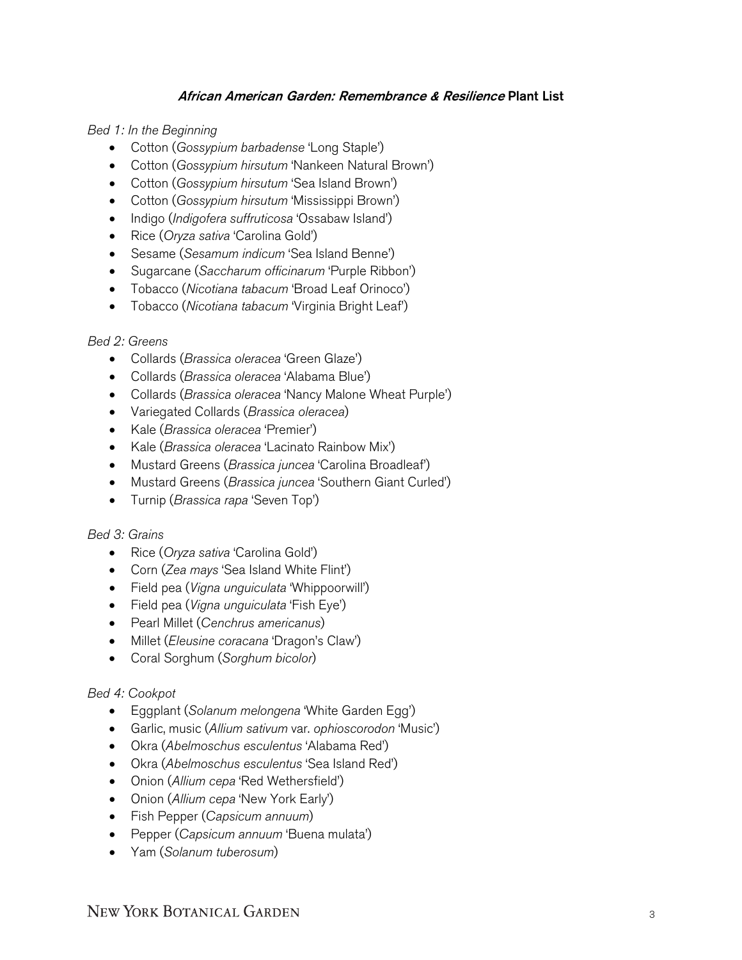### African American Garden: Remembrance & Resilience Plant List

*Bed 1: In the Beginning*

- Cotton (*Gossypium barbadense* 'Long Staple')
- Cotton (*Gossypium hirsutum* 'Nankeen Natural Brown')
- Cotton (*Gossypium hirsutum* 'Sea Island Brown')
- Cotton (*Gossypium hirsutum* 'Mississippi Brown')
- Indigo (*Indigofera suffruticosa* 'Ossabaw Island')
- Rice (*Oryza sativa* 'Carolina Gold')
- Sesame (*Sesamum indicum* 'Sea Island Benne')
- Sugarcane (*Saccharum officinarum* 'Purple Ribbon')
- Tobacco (*Nicotiana tabacum* 'Broad Leaf Orinoco')
- Tobacco (*Nicotiana tabacum* 'Virginia Bright Leaf')

## *Bed 2: Greens*

- Collards (*Brassica oleracea* 'Green Glaze')
- Collards (*Brassica oleracea* 'Alabama Blue')
- Collards (*Brassica oleracea* 'Nancy Malone Wheat Purple')
- Variegated Collards (*Brassica oleracea*)
- Kale (*Brassica oleracea* 'Premier')
- Kale (*Brassica oleracea* 'Lacinato Rainbow Mix')
- Mustard Greens (*Brassica juncea* 'Carolina Broadleaf')
- Mustard Greens (*Brassica juncea* 'Southern Giant Curled')
- Turnip (*Brassica rapa* 'Seven Top')

#### *Bed 3: Grains*

- Rice (*Oryza sativa* 'Carolina Gold')
- Corn (*Zea mays* 'Sea Island White Flint')
- Field pea (*Vigna unguiculata* 'Whippoorwill')
- Field pea (*Vigna unguiculata* 'Fish Eye')
- Pearl Millet (*Cenchrus americanus*)
- Millet (*Eleusine coracana* 'Dragon's Claw')
- Coral Sorghum (*Sorghum bicolor*)

#### *Bed 4: Cookpot*

- Eggplant (*Solanum melongena* 'White Garden Egg')
- Garlic, music (*Allium sativum* var. *ophioscorodon* 'Music')
- Okra (*Abelmoschus esculentus* 'Alabama Red')
- Okra (*Abelmoschus esculentus* 'Sea Island Red')
- Onion (*Allium cepa* 'Red Wethersfield')
- Onion (*Allium cepa* 'New York Early')
- Fish Pepper (*Capsicum annuum*)
- Pepper (*Capsicum annuum* 'Buena mulata')
- Yam (*Solanum tuberosum*)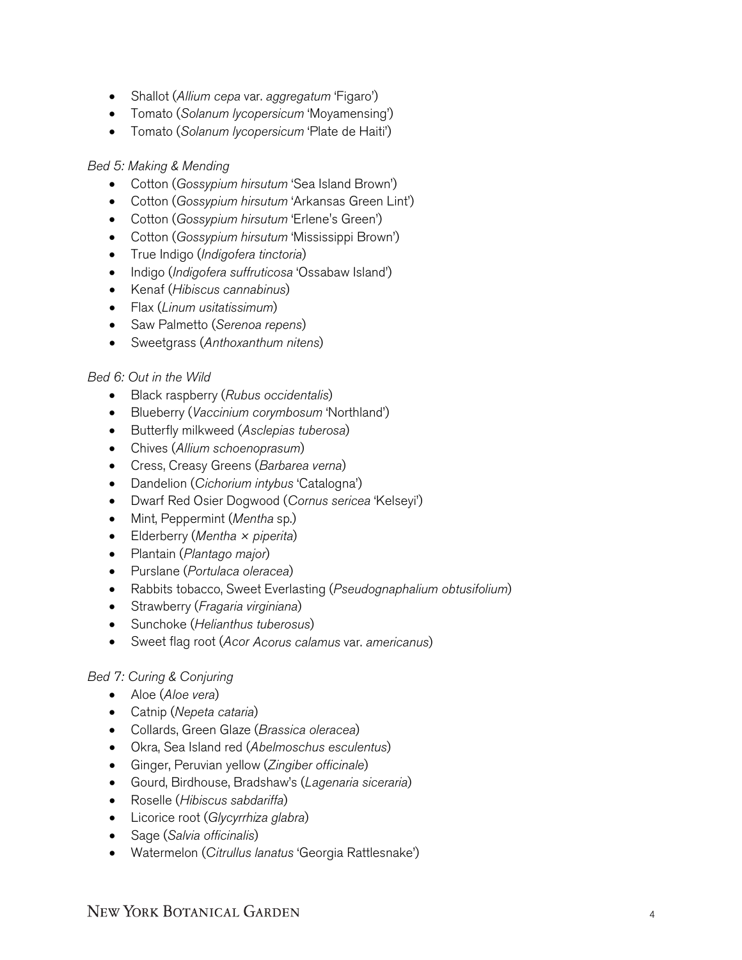- Shallot (*Allium cepa* var. *aggregatum* 'Figaro')
- Tomato (*Solanum lycopersicum* 'Moyamensing')
- Tomato (*Solanum lycopersicum* 'Plate de Haiti')

### *Bed 5: Making & Mending*

- Cotton (*Gossypium hirsutum* 'Sea Island Brown')
- Cotton (*Gossypium hirsutum* 'Arkansas Green Lint')
- Cotton (*Gossypium hirsutum* 'Erlene's Green')
- Cotton (*Gossypium hirsutum* 'Mississippi Brown')
- True Indigo (*Indigofera tinctoria*)
- Indigo (*Indigofera suffruticosa* 'Ossabaw Island')
- Kenaf (*Hibiscus cannabinus*)
- Flax (*Linum usitatissimum*)
- Saw Palmetto (*Serenoa repens*)
- Sweetgrass (*Anthoxanthum nitens*)

#### *Bed 6: Out in the Wild*

- Black raspberry (*Rubus occidentalis*)
- Blueberry (*Vaccinium corymbosum* 'Northland')
- Butterfly milkweed (*Asclepias tuberosa*)
- Chives (*Allium schoenoprasum*)
- Cress, Creasy Greens (*Barbarea verna*)
- Dandelion (*Cichorium intybus* 'Catalogna')
- Dwarf Red Osier Dogwood (*Cornus sericea* 'Kelseyi')
- Mint, Peppermint (*Mentha* sp.)
- Elderberry (*Mentha × piperita*)
- Plantain (*Plantago major*)
- Purslane (*Portulaca oleracea*)
- Rabbits tobacco, Sweet Everlasting (*Pseudognaphalium obtusifolium*)
- Strawberry (*Fragaria virginiana*)
- Sunchoke (*Helianthus tuberosus*)
- Sweet flag root (*Acor Acorus calamus* var. *americanus*)

# *Bed 7: Curing & Conjuring*

- Aloe (*Aloe vera*)
- Catnip (*Nepeta cataria*)
- Collards, Green Glaze (*Brassica oleracea*)
- Okra, Sea Island red (*Abelmoschus esculentus*)
- Ginger, Peruvian yellow (*Zingiber officinale*)
- Gourd, Birdhouse, Bradshaw's (*Lagenaria siceraria*)
- Roselle (*Hibiscus sabdariffa*)
- Licorice root (*Glycyrrhiza glabra*)
- Sage (*Salvia officinalis*)
- Watermelon (*Citrullus lanatus* 'Georgia Rattlesnake')